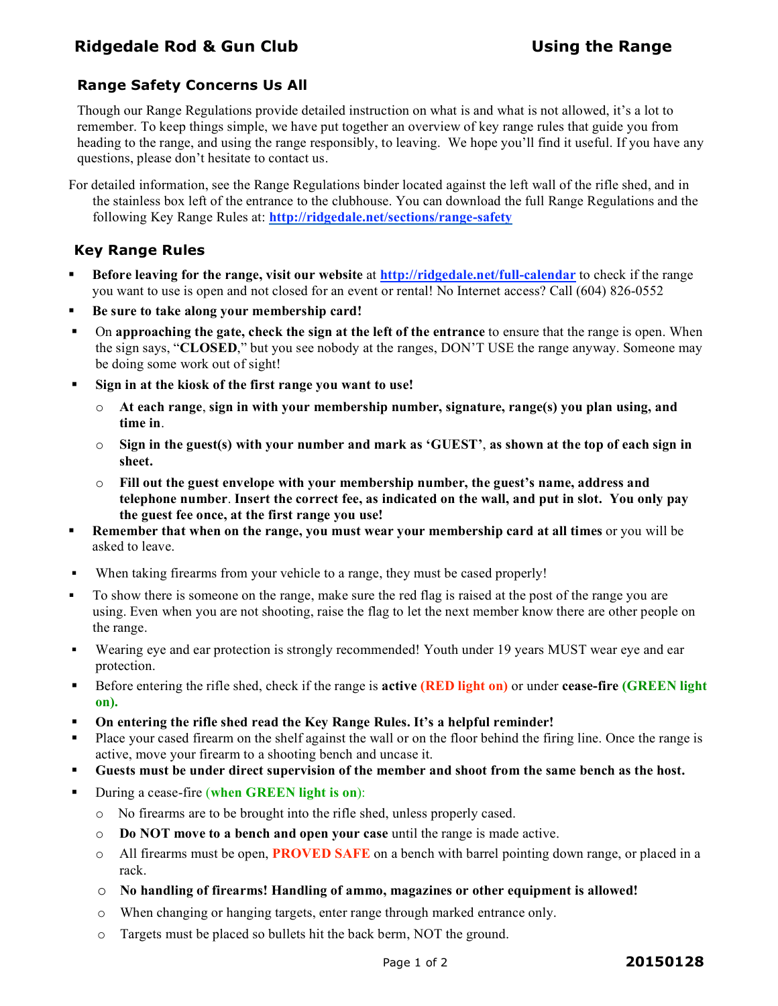# **Ridgedale Rod & Gun Club Using the Range**

### **Range Safety Concerns Us All**

Though our Range Regulations provide detailed instruction on what is and what is not allowed, it's a lot to remember. To keep things simple, we have put together an overview of key range rules that guide you from heading to the range, and using the range responsibly, to leaving. We hope you'll find it useful. If you have any questions, please don't hesitate to contact us.

For detailed information, see the Range Regulations binder located against the left wall of the rifle shed, and in the stainless box left of the entrance to the clubhouse. You can download the full Range Regulations and the following Key Range Rules at: **http://ridgedale.net/sections/range-safety**

### **Key Range Rules**

- **Before leaving for the range, visit our website** at **http://ridgedale.net/full-calendar** to check if the range you want to use is open and not closed for an event or rental! No Internet access? Call (604) 826-0552
- **Be sure to take along your membership card!**
- On **approaching the gate, check the sign at the left of the entrance** to ensure that the range is open. When the sign says, "**CLOSED**," but you see nobody at the ranges, DON'T USE the range anyway. Someone may be doing some work out of sight!
- **Sign in at the kiosk of the first range you want to use!** 
	- o **At each range**, **sign in with your membership number, signature, range(s) you plan using, and time in**.
	- o **Sign in the guest(s) with your number and mark as 'GUEST'**, **as shown at the top of each sign in sheet.**
	- o **Fill out the guest envelope with your membership number, the guest's name, address and telephone number**. **Insert the correct fee, as indicated on the wall, and put in slot. You only pay the guest fee once, at the first range you use!**
- **Remember that when on the range, you must wear your membership card at all times** or you will be asked to leave.
- When taking firearms from your vehicle to a range, they must be cased properly!
- To show there is someone on the range, make sure the red flag is raised at the post of the range you are using. Even when you are not shooting, raise the flag to let the next member know there are other people on the range.
- Wearing eye and ear protection is strongly recommended! Youth under 19 years MUST wear eye and ear protection.
- Before entering the rifle shed, check if the range is **active (RED light on)** or under **cease-fire (GREEN light on).**
- **On entering the rifle shed read the Key Range Rules. It's a helpful reminder!**
- Place your cased firearm on the shelf against the wall or on the floor behind the firing line. Once the range is active, move your firearm to a shooting bench and uncase it.
- **Guests must be under direct supervision of the member and shoot from the same bench as the host.**
- During a cease-fire (**when GREEN light is on**):
	- o No firearms are to be brought into the rifle shed, unless properly cased.
	- o **Do NOT move to a bench and open your case** until the range is made active.
	- o All firearms must be open, **PROVED SAFE** on a bench with barrel pointing down range, or placed in a rack.
	- o **No handling of firearms! Handling of ammo, magazines or other equipment is allowed!**
	- o When changing or hanging targets, enter range through marked entrance only.
	- o Targets must be placed so bullets hit the back berm, NOT the ground.